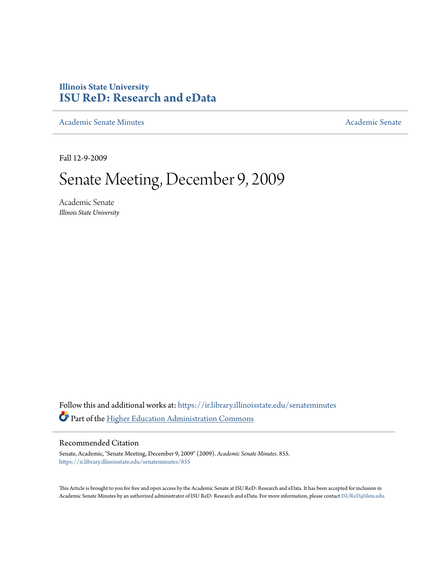# **Illinois State University [ISU ReD: Research and eData](https://ir.library.illinoisstate.edu?utm_source=ir.library.illinoisstate.edu%2Fsenateminutes%2F855&utm_medium=PDF&utm_campaign=PDFCoverPages)**

[Academic Senate Minutes](https://ir.library.illinoisstate.edu/senateminutes?utm_source=ir.library.illinoisstate.edu%2Fsenateminutes%2F855&utm_medium=PDF&utm_campaign=PDFCoverPages) [Academic Senate](https://ir.library.illinoisstate.edu/senate?utm_source=ir.library.illinoisstate.edu%2Fsenateminutes%2F855&utm_medium=PDF&utm_campaign=PDFCoverPages) Academic Senate

Fall 12-9-2009

# Senate Meeting, December 9, 2009

Academic Senate *Illinois State University*

Follow this and additional works at: [https://ir.library.illinoisstate.edu/senateminutes](https://ir.library.illinoisstate.edu/senateminutes?utm_source=ir.library.illinoisstate.edu%2Fsenateminutes%2F855&utm_medium=PDF&utm_campaign=PDFCoverPages) Part of the [Higher Education Administration Commons](http://network.bepress.com/hgg/discipline/791?utm_source=ir.library.illinoisstate.edu%2Fsenateminutes%2F855&utm_medium=PDF&utm_campaign=PDFCoverPages)

#### Recommended Citation

Senate, Academic, "Senate Meeting, December 9, 2009" (2009). *Academic Senate Minutes*. 855. [https://ir.library.illinoisstate.edu/senateminutes/855](https://ir.library.illinoisstate.edu/senateminutes/855?utm_source=ir.library.illinoisstate.edu%2Fsenateminutes%2F855&utm_medium=PDF&utm_campaign=PDFCoverPages)

This Article is brought to you for free and open access by the Academic Senate at ISU ReD: Research and eData. It has been accepted for inclusion in Academic Senate Minutes by an authorized administrator of ISU ReD: Research and eData. For more information, please contact [ISUReD@ilstu.edu.](mailto:ISUReD@ilstu.edu)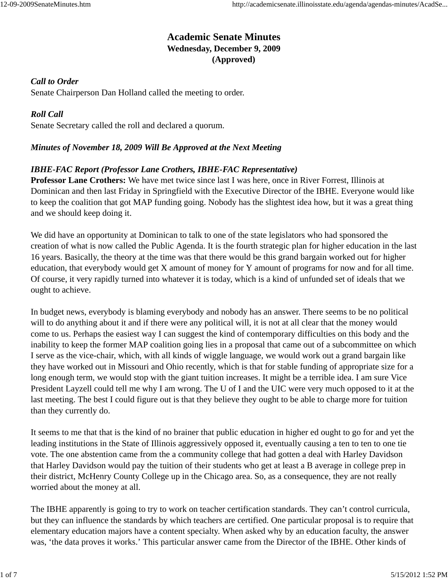## **Academic Senate Minutes Wednesday, December 9, 2009 (Approved)**

#### *Call to Order*

Senate Chairperson Dan Holland called the meeting to order.

#### *Roll Call*

Senate Secretary called the roll and declared a quorum.

#### *Minutes of November 18, 2009 Will Be Approved at the Next Meeting*

#### *IBHE-FAC Report (Professor Lane Crothers, IBHE-FAC Representative)*

**Professor Lane Crothers:** We have met twice since last I was here, once in River Forrest, Illinois at Dominican and then last Friday in Springfield with the Executive Director of the IBHE. Everyone would like to keep the coalition that got MAP funding going. Nobody has the slightest idea how, but it was a great thing and we should keep doing it.

We did have an opportunity at Dominican to talk to one of the state legislators who had sponsored the creation of what is now called the Public Agenda. It is the fourth strategic plan for higher education in the last 16 years. Basically, the theory at the time was that there would be this grand bargain worked out for higher education, that everybody would get X amount of money for Y amount of programs for now and for all time. Of course, it very rapidly turned into whatever it is today, which is a kind of unfunded set of ideals that we ought to achieve.

In budget news, everybody is blaming everybody and nobody has an answer. There seems to be no political will to do anything about it and if there were any political will, it is not at all clear that the money would come to us. Perhaps the easiest way I can suggest the kind of contemporary difficulties on this body and the inability to keep the former MAP coalition going lies in a proposal that came out of a subcommittee on which I serve as the vice-chair, which, with all kinds of wiggle language, we would work out a grand bargain like they have worked out in Missouri and Ohio recently, which is that for stable funding of appropriate size for a long enough term, we would stop with the giant tuition increases. It might be a terrible idea. I am sure Vice President Layzell could tell me why I am wrong. The U of I and the UIC were very much opposed to it at the last meeting. The best I could figure out is that they believe they ought to be able to charge more for tuition than they currently do.

It seems to me that that is the kind of no brainer that public education in higher ed ought to go for and yet the leading institutions in the State of Illinois aggressively opposed it, eventually causing a ten to ten to one tie vote. The one abstention came from the a community college that had gotten a deal with Harley Davidson that Harley Davidson would pay the tuition of their students who get at least a B average in college prep in their district, McHenry County College up in the Chicago area. So, as a consequence, they are not really worried about the money at all.

The IBHE apparently is going to try to work on teacher certification standards. They can't control curricula, but they can influence the standards by which teachers are certified. One particular proposal is to require that elementary education majors have a content specialty. When asked why by an education faculty, the answer was, 'the data proves it works.' This particular answer came from the Director of the IBHE. Other kinds of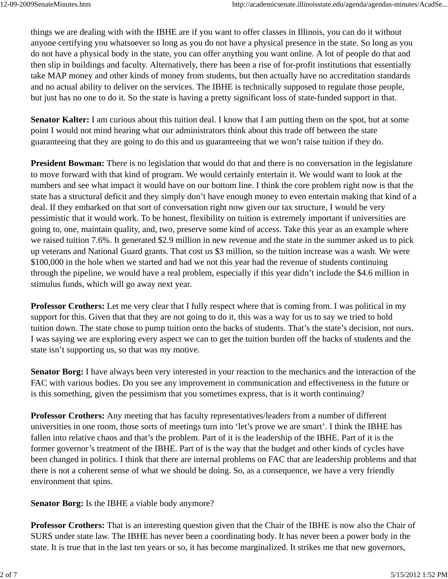things we are dealing with with the IBHE are if you want to offer classes in Illinois, you can do it without anyone certifying you whatsoever so long as you do not have a physical presence in the state. So long as you do not have a physical body in the state, you can offer anything you want online. A lot of people do that and then slip in buildings and faculty. Alternatively, there has been a rise of for-profit institutions that essentially take MAP money and other kinds of money from students, but then actually have no accreditation standards and no actual ability to deliver on the services. The IBHE is technically supposed to regulate those people, but just has no one to do it. So the state is having a pretty significant loss of state-funded support in that.

**Senator Kalter:** I am curious about this tuition deal. I know that I am putting them on the spot, but at some point I would not mind hearing what our administrators think about this trade off between the state guaranteeing that they are going to do this and us guaranteeing that we won't raise tuition if they do.

**President Bowman:** There is no legislation that would do that and there is no conversation in the legislature to move forward with that kind of program. We would certainly entertain it. We would want to look at the numbers and see what impact it would have on our bottom line. I think the core problem right now is that the state has a structural deficit and they simply don't have enough money to even entertain making that kind of a deal. If they embarked on that sort of conversation right now given our tax structure, I would be very pessimistic that it would work. To be honest, flexibility on tuition is extremely important if universities are going to, one, maintain quality, and, two, preserve some kind of access. Take this year as an example where we raised tuition 7.6%. It generated \$2.9 million in new revenue and the state in the summer asked us to pick up veterans and National Guard grants. That cost us \$3 million, so the tuition increase was a wash. We were \$100,000 in the hole when we started and had we not this year had the revenue of students continuing through the pipeline, we would have a real problem, especially if this year didn't include the \$4.6 million in stimulus funds, which will go away next year.

**Professor Crothers:** Let me very clear that I fully respect where that is coming from. I was political in my support for this. Given that that they are not going to do it, this was a way for us to say we tried to hold tuition down. The state chose to pump tuition onto the backs of students. That's the state's decision, not ours. I was saying we are exploring every aspect we can to get the tuition burden off the backs of students and the state isn't supporting us, so that was my motive.

**Senator Borg:** I have always been very interested in your reaction to the mechanics and the interaction of the FAC with various bodies. Do you see any improvement in communication and effectiveness in the future or is this something, given the pessimism that you sometimes express, that is it worth continuing?

**Professor Crothers:** Any meeting that has faculty representatives/leaders from a number of different universities in one room, those sorts of meetings turn into 'let's prove we are smart'. I think the IBHE has fallen into relative chaos and that's the problem. Part of it is the leadership of the IBHE. Part of it is the former governor's treatment of the IBHE. Part of is the way that the budget and other kinds of cycles have been changed in politics. I think that there are internal problems on FAC that are leadership problems and that there is not a coherent sense of what we should be doing. So, as a consequence, we have a very friendly environment that spins.

**Senator Borg:** Is the IBHE a viable body anymore?

**Professor Crothers:** That is an interesting question given that the Chair of the IBHE is now also the Chair of SURS under state law. The IBHE has never been a coordinating body. It has never been a power body in the state. It is true that in the last ten years or so, it has become marginalized. It strikes me that new governors,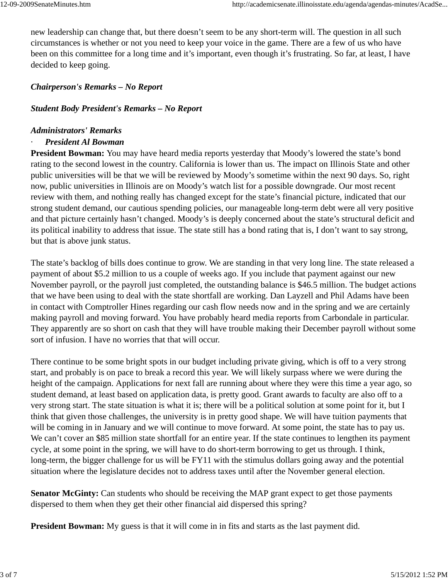new leadership can change that, but there doesn't seem to be any short-term will. The question in all such circumstances is whether or not you need to keep your voice in the game. There are a few of us who have been on this committee for a long time and it's important, even though it's frustrating. So far, at least, I have decided to keep going.

### *Chairperson's Remarks – No Report*

#### *Student Body President's Remarks – No Report*

#### *Administrators' Remarks*

#### · *President Al Bowman*

**President Bowman:** You may have heard media reports yesterday that Moody's lowered the state's bond rating to the second lowest in the country. California is lower than us. The impact on Illinois State and other public universities will be that we will be reviewed by Moody's sometime within the next 90 days. So, right now, public universities in Illinois are on Moody's watch list for a possible downgrade. Our most recent review with them, and nothing really has changed except for the state's financial picture, indicated that our strong student demand, our cautious spending policies, our manageable long-term debt were all very positive and that picture certainly hasn't changed. Moody's is deeply concerned about the state's structural deficit and its political inability to address that issue. The state still has a bond rating that is, I don't want to say strong, but that is above junk status.

The state's backlog of bills does continue to grow. We are standing in that very long line. The state released a payment of about \$5.2 million to us a couple of weeks ago. If you include that payment against our new November payroll, or the payroll just completed, the outstanding balance is \$46.5 million. The budget actions that we have been using to deal with the state shortfall are working. Dan Layzell and Phil Adams have been in contact with Comptroller Hines regarding our cash flow needs now and in the spring and we are certainly making payroll and moving forward. You have probably heard media reports from Carbondale in particular. They apparently are so short on cash that they will have trouble making their December payroll without some sort of infusion. I have no worries that that will occur.

There continue to be some bright spots in our budget including private giving, which is off to a very strong start, and probably is on pace to break a record this year. We will likely surpass where we were during the height of the campaign. Applications for next fall are running about where they were this time a year ago, so student demand, at least based on application data, is pretty good. Grant awards to faculty are also off to a very strong start. The state situation is what it is; there will be a political solution at some point for it, but I think that given those challenges, the university is in pretty good shape. We will have tuition payments that will be coming in in January and we will continue to move forward. At some point, the state has to pay us. We can't cover an \$85 million state shortfall for an entire year. If the state continues to lengthen its payment cycle, at some point in the spring, we will have to do short-term borrowing to get us through. I think, long-term, the bigger challenge for us will be FY11 with the stimulus dollars going away and the potential situation where the legislature decides not to address taxes until after the November general election.

**Senator McGinty:** Can students who should be receiving the MAP grant expect to get those payments dispersed to them when they get their other financial aid dispersed this spring?

**President Bowman:** My guess is that it will come in in fits and starts as the last payment did.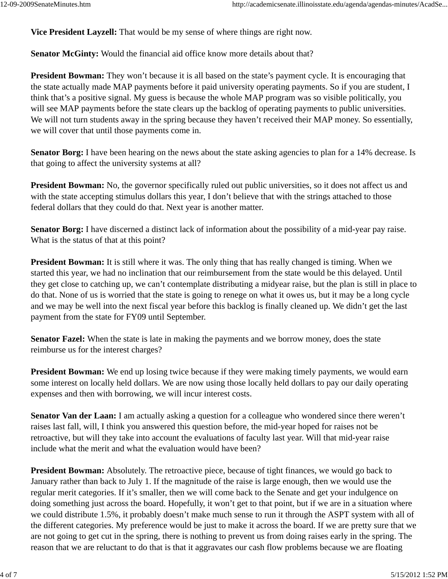**Vice President Layzell:** That would be my sense of where things are right now.

**Senator McGinty:** Would the financial aid office know more details about that?

**President Bowman:** They won't because it is all based on the state's payment cycle. It is encouraging that the state actually made MAP payments before it paid university operating payments. So if you are student, I think that's a positive signal. My guess is because the whole MAP program was so visible politically, you will see MAP payments before the state clears up the backlog of operating payments to public universities. We will not turn students away in the spring because they haven't received their MAP money. So essentially, we will cover that until those payments come in.

**Senator Borg:** I have been hearing on the news about the state asking agencies to plan for a 14% decrease. Is that going to affect the university systems at all?

**President Bowman:** No, the governor specifically ruled out public universities, so it does not affect us and with the state accepting stimulus dollars this year, I don't believe that with the strings attached to those federal dollars that they could do that. Next year is another matter.

**Senator Borg:** I have discerned a distinct lack of information about the possibility of a mid-year pay raise. What is the status of that at this point?

**President Bowman:** It is still where it was. The only thing that has really changed is timing. When we started this year, we had no inclination that our reimbursement from the state would be this delayed. Until they get close to catching up, we can't contemplate distributing a midyear raise, but the plan is still in place to do that. None of us is worried that the state is going to renege on what it owes us, but it may be a long cycle and we may be well into the next fiscal year before this backlog is finally cleaned up. We didn't get the last payment from the state for FY09 until September.

**Senator Fazel:** When the state is late in making the payments and we borrow money, does the state reimburse us for the interest charges?

**President Bowman:** We end up losing twice because if they were making timely payments, we would earn some interest on locally held dollars. We are now using those locally held dollars to pay our daily operating expenses and then with borrowing, we will incur interest costs.

**Senator Van der Laan:** I am actually asking a question for a colleague who wondered since there weren't raises last fall, will, I think you answered this question before, the mid-year hoped for raises not be retroactive, but will they take into account the evaluations of faculty last year. Will that mid-year raise include what the merit and what the evaluation would have been?

**President Bowman:** Absolutely. The retroactive piece, because of tight finances, we would go back to January rather than back to July 1. If the magnitude of the raise is large enough, then we would use the regular merit categories. If it's smaller, then we will come back to the Senate and get your indulgence on doing something just across the board. Hopefully, it won't get to that point, but if we are in a situation where we could distribute 1.5%, it probably doesn't make much sense to run it through the ASPT system with all of the different categories. My preference would be just to make it across the board. If we are pretty sure that we are not going to get cut in the spring, there is nothing to prevent us from doing raises early in the spring. The reason that we are reluctant to do that is that it aggravates our cash flow problems because we are floating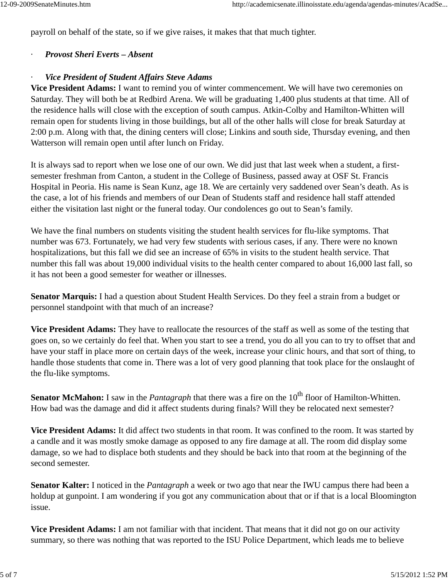payroll on behalf of the state, so if we give raises, it makes that that much tighter.

#### · *Provost Sheri Everts – Absent*

#### · *Vice President of Student Affairs Steve Adams*

**Vice President Adams:** I want to remind you of winter commencement. We will have two ceremonies on Saturday. They will both be at Redbird Arena. We will be graduating 1,400 plus students at that time. All of the residence halls will close with the exception of south campus. Atkin-Colby and Hamilton-Whitten will remain open for students living in those buildings, but all of the other halls will close for break Saturday at 2:00 p.m. Along with that, the dining centers will close; Linkins and south side, Thursday evening, and then Watterson will remain open until after lunch on Friday.

It is always sad to report when we lose one of our own. We did just that last week when a student, a firstsemester freshman from Canton, a student in the College of Business, passed away at OSF St. Francis Hospital in Peoria. His name is Sean Kunz, age 18. We are certainly very saddened over Sean's death. As is the case, a lot of his friends and members of our Dean of Students staff and residence hall staff attended either the visitation last night or the funeral today. Our condolences go out to Sean's family.

We have the final numbers on students visiting the student health services for flu-like symptoms. That number was 673. Fortunately, we had very few students with serious cases, if any. There were no known hospitalizations, but this fall we did see an increase of 65% in visits to the student health service. That number this fall was about 19,000 individual visits to the health center compared to about 16,000 last fall, so it has not been a good semester for weather or illnesses.

**Senator Marquis:** I had a question about Student Health Services. Do they feel a strain from a budget or personnel standpoint with that much of an increase?

**Vice President Adams:** They have to reallocate the resources of the staff as well as some of the testing that goes on, so we certainly do feel that. When you start to see a trend, you do all you can to try to offset that and have your staff in place more on certain days of the week, increase your clinic hours, and that sort of thing, to handle those students that come in. There was a lot of very good planning that took place for the onslaught of the flu-like symptoms.

**Senator McMahon:** I saw in the *Pantagraph* that there was a fire on the 10<sup>th</sup> floor of Hamilton-Whitten. How bad was the damage and did it affect students during finals? Will they be relocated next semester?

**Vice President Adams:** It did affect two students in that room. It was confined to the room. It was started by a candle and it was mostly smoke damage as opposed to any fire damage at all. The room did display some damage, so we had to displace both students and they should be back into that room at the beginning of the second semester.

**Senator Kalter:** I noticed in the *Pantagraph* a week or two ago that near the IWU campus there had been a holdup at gunpoint. I am wondering if you got any communication about that or if that is a local Bloomington issue.

**Vice President Adams:** I am not familiar with that incident. That means that it did not go on our activity summary, so there was nothing that was reported to the ISU Police Department, which leads me to believe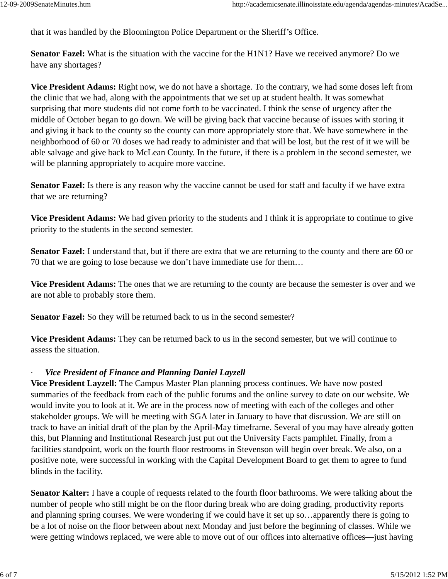that it was handled by the Bloomington Police Department or the Sheriff's Office.

**Senator Fazel:** What is the situation with the vaccine for the H1N1? Have we received anymore? Do we have any shortages?

**Vice President Adams:** Right now, we do not have a shortage. To the contrary, we had some doses left from the clinic that we had, along with the appointments that we set up at student health. It was somewhat surprising that more students did not come forth to be vaccinated. I think the sense of urgency after the middle of October began to go down. We will be giving back that vaccine because of issues with storing it and giving it back to the county so the county can more appropriately store that. We have somewhere in the neighborhood of 60 or 70 doses we had ready to administer and that will be lost, but the rest of it we will be able salvage and give back to McLean County. In the future, if there is a problem in the second semester, we will be planning appropriately to acquire more vaccine.

**Senator Fazel:** Is there is any reason why the vaccine cannot be used for staff and faculty if we have extra that we are returning?

**Vice President Adams:** We had given priority to the students and I think it is appropriate to continue to give priority to the students in the second semester.

**Senator Fazel:** I understand that, but if there are extra that we are returning to the county and there are 60 or 70 that we are going to lose because we don't have immediate use for them…

**Vice President Adams:** The ones that we are returning to the county are because the semester is over and we are not able to probably store them.

**Senator Fazel:** So they will be returned back to us in the second semester?

**Vice President Adams:** They can be returned back to us in the second semester, but we will continue to assess the situation.

#### **Vice President of Finance and Planning Daniel Layzell**

**Vice President Layzell:** The Campus Master Plan planning process continues. We have now posted summaries of the feedback from each of the public forums and the online survey to date on our website. We would invite you to look at it. We are in the process now of meeting with each of the colleges and other stakeholder groups. We will be meeting with SGA later in January to have that discussion. We are still on track to have an initial draft of the plan by the April-May timeframe. Several of you may have already gotten this, but Planning and Institutional Research just put out the University Facts pamphlet. Finally, from a facilities standpoint, work on the fourth floor restrooms in Stevenson will begin over break. We also, on a positive note, were successful in working with the Capital Development Board to get them to agree to fund blinds in the facility.

**Senator Kalter:** I have a couple of requests related to the fourth floor bathrooms. We were talking about the number of people who still might be on the floor during break who are doing grading, productivity reports and planning spring courses. We were wondering if we could have it set up so…apparently there is going to be a lot of noise on the floor between about next Monday and just before the beginning of classes. While we were getting windows replaced, we were able to move out of our offices into alternative offices—just having